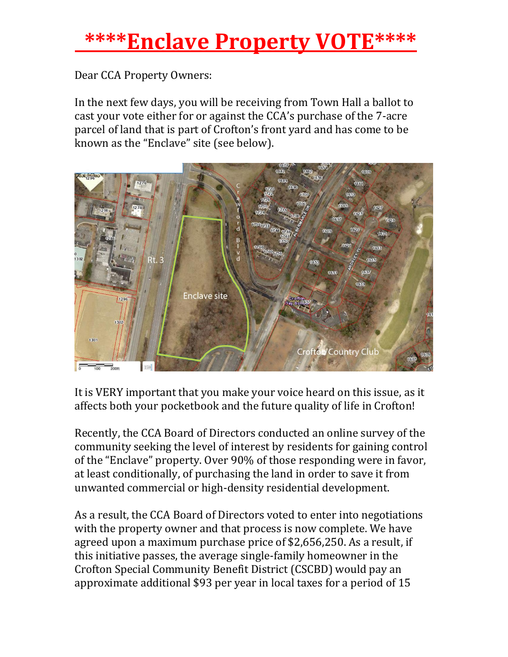## **\*\*\*\*Enclave Property VOTE\*\*\*\***

Dear CCA Property Owners:

In the next few days, you will be receiving from Town Hall a ballot to cast your vote either for or against the CCA's purchase of the 7-acre parcel of land that is part of Crofton's front yard and has come to be known as the "Enclave" site (see below).



It is VERY important that you make your voice heard on this issue, as it affects both your pocketbook and the future quality of life in Crofton!

Recently, the CCA Board of Directors conducted an online survey of the community seeking the level of interest by residents for gaining control of the "Enclave" property. Over 90% of those responding were in favor, at least conditionally, of purchasing the land in order to save it from unwanted commercial or high-density residential development.

As a result, the CCA Board of Directors voted to enter into negotiations with the property owner and that process is now complete. We have agreed upon a maximum purchase price of \$2,656,250. As a result, if this initiative passes, the average single-family homeowner in the Crofton Special Community Benefit District (CSCBD) would pay an approximate additional \$93 per year in local taxes for a period of 15